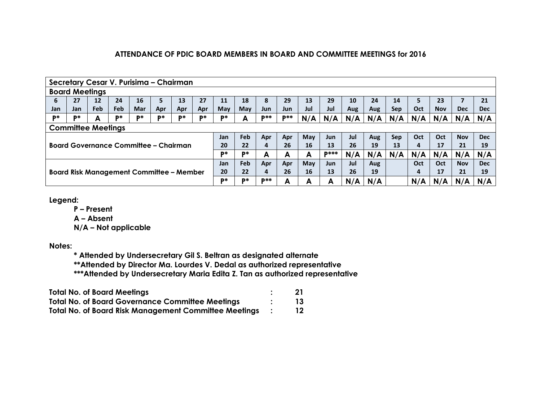|     | Secretary Cesar V. Purisima - Chairman                                                                              |     |     |                                              |     |     |     |     |     |            |       |     |             |     |     |     |     |            |            |            |
|-----|---------------------------------------------------------------------------------------------------------------------|-----|-----|----------------------------------------------|-----|-----|-----|-----|-----|------------|-------|-----|-------------|-----|-----|-----|-----|------------|------------|------------|
|     | <b>Board Meetings</b>                                                                                               |     |     |                                              |     |     |     |     |     |            |       |     |             |     |     |     |     |            |            |            |
| 6   | 27                                                                                                                  | 12  | 24  | 16                                           | ь   | 13  | 27  | 11  | 18  | 8          | 29    | 13  | 29          | 10  | 24  | 14  |     | 23         |            | 21         |
| Jan | Jan.                                                                                                                | Feb | Feb | Mar                                          | Apr | Apr | Apr | May | May | Jun        | Jun   | Jul | Jul         | Aug | Aug | Sep | Oct | <b>Nov</b> | <b>Dec</b> | <b>Dec</b> |
| D*  | D*                                                                                                                  | А   | D*  | D*                                           | D*  | D*  | D*  | D*  | А   | <b>D**</b> | $p**$ | N/A | N/A         | N/A | N/A | N/A | N/A | N/A        | N/A        | N/A        |
|     | <b>Committee Meetings</b>                                                                                           |     |     |                                              |     |     |     |     |     |            |       |     |             |     |     |     |     |            |            |            |
|     | Feb<br>Jul<br>May<br>Oct<br><b>Dec</b><br><b>Oct</b><br>Jan<br>Apr<br><b>Sep</b><br><b>Nov</b><br>Apr<br>Jun<br>Aug |     |     |                                              |     |     |     |     |     |            |       |     |             |     |     |     |     |            |            |            |
|     |                                                                                                                     |     |     | <b>Board Governance Committee - Chairman</b> |     |     |     | 20  | 22  | 4          | 26    | 16  | 13          | 26  | 19  | 13  | 4   | 17         | 21         | 19         |
|     |                                                                                                                     |     |     |                                              |     |     |     | D*  | D*  | A          | А     | A   | <b>D***</b> | N/A | N/A | N/A | N/A | N/A        | N/A        | N/A        |
|     |                                                                                                                     |     |     |                                              |     |     |     | Jan | Feb | Apr        | Apr   | May | Jun         | Jul | Aug |     | Oct | Oct        | <b>Nov</b> | <b>Dec</b> |
|     | <b>Board Risk Management Committee - Member</b>                                                                     |     |     |                                              |     |     |     | 20  | 22  | 4          | 26    | 16  | 13          | 26  | 19  |     | 4   | 17         | 21         | 19         |
|     |                                                                                                                     |     |     |                                              |     |     |     |     | D*  | <b>D**</b> | А     | А   | А           | N/A | N/A |     | N/A | N/A        | N/A        | N/A        |

**Legend:**

**P – Present**

**A – Absent**

**N/A – Not applicable**

**Notes:**

**\* Attended by Undersecretary Gil S. Beltran as designated alternate**

**\*\*Attended by Director Ma. Lourdes V. Dedal as authorized representative**

**\*\*\*Attended by Undersecretary Maria Edita Z. Tan as authorized representative**

| <b>Total No. of Board Meetings</b>                           |     |
|--------------------------------------------------------------|-----|
| <b>Total No. of Board Governance Committee Meetings</b>      | 13. |
| <b>Total No. of Board Risk Management Committee Meetings</b> | 12  |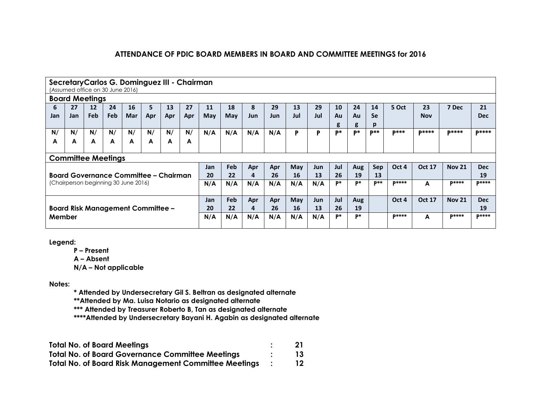|     | Secretary Carlos G. Dominguez III - Chairman<br>(Assumed office on 30 June 2016) |            |            |                                      |                                       |     |     |            |     |            |            |     |     |           |     |             |              |               |               |              |
|-----|----------------------------------------------------------------------------------|------------|------------|--------------------------------------|---------------------------------------|-----|-----|------------|-----|------------|------------|-----|-----|-----------|-----|-------------|--------------|---------------|---------------|--------------|
|     | <b>Board Meetings</b>                                                            |            |            |                                      |                                       |     |     |            |     |            |            |     |     |           |     |             |              |               |               |              |
| 6   | 27                                                                               | 12         | 24         | 16                                   | 5                                     | 13  | 27  | 11         | 18  | 8          | 29         | 13  | 29  | 10        | 24  | 14          | 5 Oct        | 23            | 7 Dec         | 21           |
| Jan | Jan                                                                              | <b>Feb</b> | <b>Feb</b> | Mar                                  | Apr                                   | Apr | Apr | <b>May</b> | May | <b>Jun</b> | <b>Jun</b> | Jul | Jul | Au        | Au  | <b>Se</b>   |              | <b>Nov</b>    |               | Dec          |
|     |                                                                                  |            |            |                                      |                                       |     |     |            |     |            |            |     |     | g         | g   | p           |              |               |               |              |
| N/  | N/                                                                               | N/         | N/         | N/                                   | N/                                    | N/  | N/  | N/A        | N/A | N/A        | N/A        | P   | P   | <b>D*</b> | D*  | <b>D</b> ** | <b>D***</b>  | <b>D****</b>  | <b>D****</b>  | <b>D****</b> |
| A   | A                                                                                | A          | A          | A                                    | A                                     | A   | A   |            |     |            |            |     |     |           |     |             |              |               |               |              |
|     |                                                                                  |            |            |                                      |                                       |     |     |            |     |            |            |     |     |           |     |             |              |               |               |              |
|     | <b>Committee Meetings</b>                                                        |            |            |                                      |                                       |     |     |            |     |            |            |     |     |           |     |             |              |               |               |              |
|     |                                                                                  |            |            |                                      |                                       |     |     | Jan        | Feb | Apr        | Apr        | May | Jun | Jul       | Aug | Sep         | Oct 4        | <b>Oct 17</b> | <b>Nov 21</b> | <b>Dec</b>   |
|     |                                                                                  |            |            |                                      | Board Governance Committee – Chairman |     |     | 20         | 22  | 4          | 26         | 16  | 13  | 26        | 19  | 13          |              |               |               | 19           |
|     |                                                                                  |            |            | (Chairperson beginning 30 June 2016) |                                       |     |     | N/A        | N/A | N/A        | N/A        | N/A | N/A | P*        | P*  | $p**$       | <b>P****</b> | A             | <b>D****</b>  | <b>P****</b> |
|     |                                                                                  |            |            |                                      |                                       |     |     |            |     |            |            |     |     |           |     |             |              |               |               |              |
|     |                                                                                  |            |            |                                      |                                       |     |     |            | Feb | Apr        | Apr        | May | Jun | Jul       | Aug |             | Oct 4        | <b>Oct 17</b> | <b>Nov 21</b> | <b>Dec</b>   |
|     | <b>Board Risk Management Committee -</b>                                         |            |            |                                      |                                       |     |     | 20         | 22  | 4          | 26         | 16  | 13  | 26        | 19  |             |              |               |               | 19           |
|     | Member                                                                           |            |            |                                      |                                       |     |     | N/A        | N/A | N/A        | N/A        | N/A | N/A | P*        | P*  |             | <b>P****</b> | A             | $P***$        | <b>P****</b> |
|     |                                                                                  |            |            |                                      |                                       |     |     |            |     |            |            |     |     |           |     |             |              |               |               |              |

**Legend:**

**P – Present**

**A – Absent**

**N/A – Not applicable**

**Notes:**

**\* Attended by Undersecretary Gil S. Beltran as designated alternate**

**\*\*Attended by Ma. Luisa Notario as designated alternate**

**\*\*\* Attended by Treasurer Roberto B, Tan as designated alternate**

**\*\*\*\*Attended by Undersecretary Bayani H. Agabin as designated alternate**

| <b>Total No. of Board Meetings</b>                           | -21 |
|--------------------------------------------------------------|-----|
| <b>Total No. of Board Governance Committee Meetings</b>      | 13  |
| <b>Total No. of Board Risk Management Committee Meetings</b> | 12  |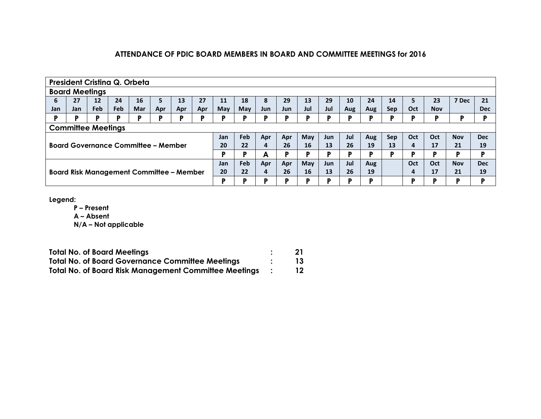|     | President Cristina Q. Orbeta                                                                                 |            |     |                                            |     |     |     |            |     |            |     |           |            |     |     |            |     |            |            |            |
|-----|--------------------------------------------------------------------------------------------------------------|------------|-----|--------------------------------------------|-----|-----|-----|------------|-----|------------|-----|-----------|------------|-----|-----|------------|-----|------------|------------|------------|
|     | <b>Board Meetings</b>                                                                                        |            |     |                                            |     |     |     |            |     |            |     |           |            |     |     |            |     |            |            |            |
| 6   | 27                                                                                                           | 12         | 24  | 16                                         | 5.  | 13  | 27  | 11         | 18  | 8          | 29  | 13        | 29         | 10  | 24  | 14         | 5   | 23         | 7 Dec      | 21         |
| Jan | Jan.                                                                                                         | <b>Feb</b> | Feb | Mar                                        | Apr | Apr | Apr | <b>May</b> | May | <b>Jun</b> | Jun | Jul       | Jul        | Aug | Aug | <b>Sep</b> | Oct | <b>Nov</b> |            | <b>Dec</b> |
| P   | D                                                                                                            | P          | D   | D                                          | D   | D   | D   | D          | D   | D          | D   | D         | в          | D   | D   | D          |     |            |            | D.         |
|     | <b>Committee Meetings</b>                                                                                    |            |     |                                            |     |     |     |            |     |            |     |           |            |     |     |            |     |            |            |            |
|     | Feb<br>May<br>Jul<br>Oct<br><b>Nov</b><br><b>Dec</b><br>Sep<br>Oct<br>Jan<br>Apr<br>Apr<br><b>Jun</b><br>Aug |            |     |                                            |     |     |     |            |     |            |     |           |            |     |     |            |     |            |            |            |
|     |                                                                                                              |            |     | <b>Board Governance Committee - Member</b> |     |     |     | 20         | 22  | 4          | 26  | <b>16</b> | 13         | 26  | 19  | 13         | 4   | 17         | 21         | 19         |
|     |                                                                                                              |            |     |                                            |     |     |     | D          | D   | A          | D   | D         | в          | D   | D   | D          | в   | D          | D          | P          |
|     |                                                                                                              |            |     |                                            |     |     |     | Jan        | Feb | Apr        | Apr | May       | <b>Jun</b> | Jul | Aug |            | Oct | Oct        | <b>Nov</b> | <b>Dec</b> |
|     | <b>Board Risk Management Committee - Member</b>                                                              |            |     |                                            |     |     |     | 20         | 22  | 4          | 26  | 16        | 13         | 26  | 19  |            | 4   | 17         | 21         | 19         |
|     |                                                                                                              |            |     |                                            |     |     |     |            | D   | D          | D   | D         | в          | D   | D   |            | D   | D          | Þ          | P          |

**Legend:**

**P – Present**

**A – Absent**

| <b>Total No. of Board Meetings</b>                           | 21 |
|--------------------------------------------------------------|----|
| <b>Total No. of Board Governance Committee Meetings</b>      |    |
| <b>Total No. of Board Risk Management Committee Meetings</b> |    |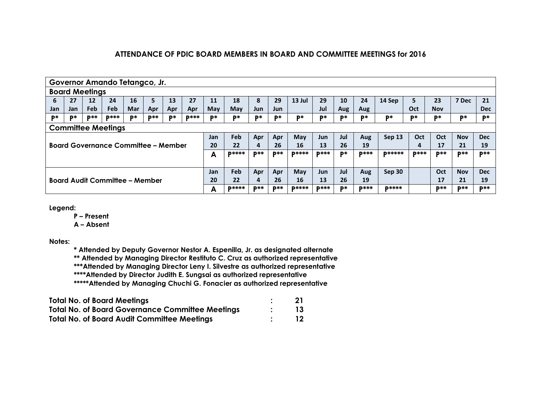|                                                                                                                                             | Governor Amando Tetangco, Jr.                                                                                   |            |                                            |     |     |     |     |            |     |     |            |              |             |     |              |               |             |            |            |            |
|---------------------------------------------------------------------------------------------------------------------------------------------|-----------------------------------------------------------------------------------------------------------------|------------|--------------------------------------------|-----|-----|-----|-----|------------|-----|-----|------------|--------------|-------------|-----|--------------|---------------|-------------|------------|------------|------------|
|                                                                                                                                             | <b>Board Meetings</b>                                                                                           |            |                                            |     |     |     |     |            |     |     |            |              |             |     |              |               |             |            |            |            |
| 6                                                                                                                                           | 27                                                                                                              | 12         | 24                                         | 16  | 5.  | 13  | 27  | 11         | 18  | 8   | 29         | 13 Jul       | 29          | 10  | 24           | 14 Sep        | 5           | 23         | 7 Dec      | 21         |
| Jan                                                                                                                                         | Jan                                                                                                             | <b>Feb</b> | Feb                                        | Mar | Apr | Apr | Apr | <b>May</b> | May | Jun | Jun        |              | Jul         | Aug | Aug          |               | Oct         | <b>Nov</b> |            | <b>Dec</b> |
| <b>D**</b><br><b>D</b> **<br><b>D***</b><br>D*<br><b>D***</b><br>D*<br>D*<br>D*<br>D*<br>D*<br>D*<br>D*<br>D*<br>D*<br>D*<br>D*<br>D*<br>D* |                                                                                                                 |            |                                            |     |     |     |     |            |     |     |            | D*           | D*          | D*  |              |               |             |            |            |            |
|                                                                                                                                             | <b>Committee Meetings</b>                                                                                       |            |                                            |     |     |     |     |            |     |     |            |              |             |     |              |               |             |            |            |            |
|                                                                                                                                             | Feb<br>Sep 13<br><b>Dec</b><br>Jul<br>Oct<br>Oct<br>May<br><b>Nov</b><br>Jan<br>Apr<br>Apr<br><b>Jun</b><br>Aug |            |                                            |     |     |     |     |            |     |     |            |              |             |     |              |               |             |            |            |            |
|                                                                                                                                             |                                                                                                                 |            | <b>Board Governance Committee - Member</b> |     |     |     |     | 20         | 22  | 4   | 26         | 16           | 13          | 26  | 19           |               | 4           | 17         | 21         | 19         |
|                                                                                                                                             | A                                                                                                               |            |                                            |     |     |     |     |            |     |     | <b>D**</b> | <b>D****</b> | <b>D***</b> | D*  | <b>D</b> *** | <b>D*****</b> | <b>D***</b> | <b>D**</b> | <b>D**</b> | <b>D**</b> |
|                                                                                                                                             |                                                                                                                 |            |                                            |     |     |     |     |            |     |     |            |              |             |     |              |               |             |            |            |            |
|                                                                                                                                             |                                                                                                                 |            |                                            |     |     |     |     | Jan        | Feb | Apr | Apr        | May          | <b>Jun</b>  | Jul | Aug          | Sep 30        |             | Oct        | <b>Nov</b> | <b>Dec</b> |
| Board Audit Committee – Member                                                                                                              |                                                                                                                 |            |                                            |     |     |     | 20  | 22         | 4   | 26  | 16         | 13           | 26          | 19  |              |               | 17          | 21         | 19         |            |
| <b>D**</b><br><b>D****</b><br>A                                                                                                             |                                                                                                                 |            |                                            |     |     |     |     |            |     |     | <b>D**</b> | <b>D****</b> | <b>D***</b> | D*  | <b>D***</b>  | <b>D****</b>  |             | <b>D**</b> | <b>D**</b> | <b>D**</b> |

**Legend:**

**P – Present**

**A – Absent**

**Notes:**

**\* Attended by Deputy Governor Nestor A. Espenilla, Jr. as designated alternate \*\* Attended by Managing Director Restituto C. Cruz as authorized representative \*\*\*Attended by Managing Director Leny I. Silvestre as authorized representative \*\*\*\*Attended by Director Judith E. Sungsai as authorized representative \*\*\*\*\*Attended by Managing Chuchi G. Fonacier as authorized representative**

| <b>Total No. of Board Meetings</b>                      | 21 |
|---------------------------------------------------------|----|
| <b>Total No. of Board Governance Committee Meetings</b> | 13 |
| <b>Total No. of Board Audit Committee Meetings</b>      | 12 |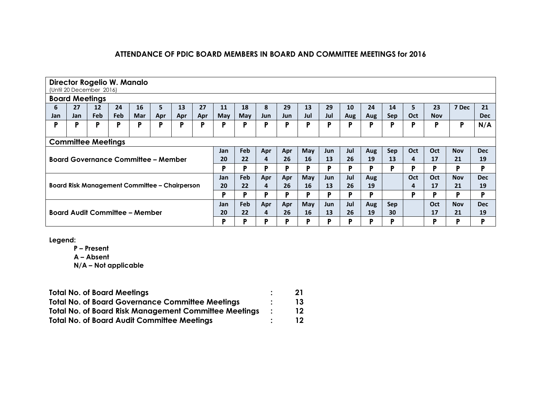|                                                     | Director Rogelio W. Manalo<br>(Until 20 December 2016)                                                                     |                   |            |                                                      |     |     |     |     |            |            |            |     |     |     |     |            |            |            |            |            |
|-----------------------------------------------------|----------------------------------------------------------------------------------------------------------------------------|-------------------|------------|------------------------------------------------------|-----|-----|-----|-----|------------|------------|------------|-----|-----|-----|-----|------------|------------|------------|------------|------------|
|                                                     | <b>Board Meetings</b>                                                                                                      |                   |            |                                                      |     |     |     |     |            |            |            |     |     |     |     |            |            |            |            |            |
| 6                                                   | 27                                                                                                                         | $12 \overline{ }$ | 24         | 16                                                   | 5   | 13  | 27  | 11  | 18         | 8          | 29         | 13  | 29  | 10  | 24  | 14         | 5          | 23         | 7 Dec      | 21         |
| Jan                                                 | Jan                                                                                                                        | Feb               | <b>Feb</b> | <b>Mar</b>                                           | Apr | Apr | Apr | May | May        | <b>Jun</b> | <b>Jun</b> | Jul | Jul | Aug | Aug | Sep        | <b>Oct</b> | <b>Nov</b> |            | <b>Dec</b> |
| P                                                   | P                                                                                                                          | P                 | Ρ          | P                                                    | D   | P   | P   | P   | P          | P          | P          | P   | P   | P   | Ρ   | P          | P          | P          | P          | N/A        |
|                                                     |                                                                                                                            |                   |            |                                                      |     |     |     |     |            |            |            |     |     |     |     |            |            |            |            |            |
|                                                     | <b>Committee Meetings</b>                                                                                                  |                   |            |                                                      |     |     |     |     |            |            |            |     |     |     |     |            |            |            |            |            |
|                                                     | <b>Feb</b><br>Oct<br>May<br>Jul<br><b>Sep</b><br><b>Oct</b><br>Jan<br>Apr<br><b>Nov</b><br><b>Dec</b><br>Apr<br>Aug<br>Jun |                   |            |                                                      |     |     |     |     |            |            |            |     |     |     |     |            |            |            |            |            |
|                                                     |                                                                                                                            |                   |            | <b>Board Governance Committee - Member</b>           |     |     |     | 20  | 22         | 4          | 26         | 16  | 13  | 26  | 19  | 13         | 4          | 17         | 21         | 19         |
|                                                     |                                                                                                                            |                   |            |                                                      |     |     |     | D   | D          | P          | P          | P   | P   | P   | P   | P          | D          | P          | P          | P          |
|                                                     |                                                                                                                            |                   |            |                                                      |     |     |     | Jan | Feb        | Apr        | Apr        | May | Jun | Jul | Aug |            | Oct        | Oct        | <b>Nov</b> | <b>Dec</b> |
|                                                     |                                                                                                                            |                   |            | <b>Board Risk Management Committee - Chairperson</b> |     |     |     | 20  | 22         | 4          | 26         | 16  | 13  | 26  | 19  |            | 4          | 17         | 21         | 19         |
|                                                     |                                                                                                                            |                   |            |                                                      |     |     |     | D   | D          | P          | P          | P   | P   | P   | P   |            | D          | P          | P          | P          |
|                                                     |                                                                                                                            |                   |            |                                                      |     |     |     | Jan | <b>Feb</b> | Apr        | Apr        | May | Jun | Jul | Aug | <b>Sep</b> |            | Oct        | <b>Nov</b> | <b>Dec</b> |
| <b>Board Audit Committee - Member</b>               |                                                                                                                            |                   |            |                                                      |     |     |     | 20  | 22         | 4          | 26         | 16  | 13  | 26  | 19  | 30         |            | 17         | 21         | 19         |
| P<br>Þ<br>D<br>D<br>Þ<br>D<br>D<br>D<br>P<br>D<br>D |                                                                                                                            |                   |            |                                                      |     |     |     |     |            |            |            | Þ   |     |     |     |            |            |            |            |            |

**Legend:**

**P – Present**

**A – Absent**

| <b>Total No. of Board Meetings</b>                           | 21 |
|--------------------------------------------------------------|----|
| <b>Total No. of Board Governance Committee Meetings</b>      | 13 |
| <b>Total No. of Board Risk Management Committee Meetings</b> | 12 |
| <b>Total No. of Board Audit Committee Meetings</b>           | 12 |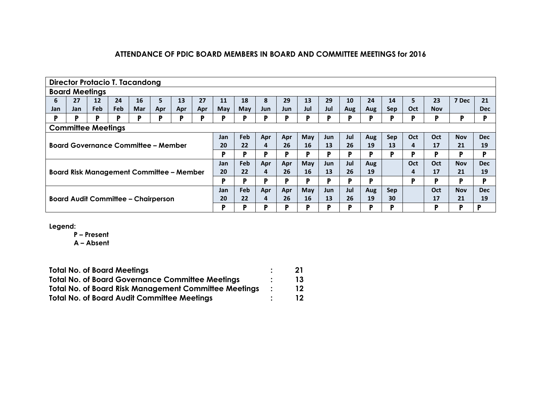|     |                                                                                                                      |            |            | <b>Director Protacio T. Tacandong</b>           |     |     |     |     |            |            |     |     |            |     |     |            |            |            |            |            |
|-----|----------------------------------------------------------------------------------------------------------------------|------------|------------|-------------------------------------------------|-----|-----|-----|-----|------------|------------|-----|-----|------------|-----|-----|------------|------------|------------|------------|------------|
|     | <b>Board Meetings</b>                                                                                                |            |            |                                                 |     |     |     |     |            |            |     |     |            |     |     |            |            |            |            |            |
| 6   | 27                                                                                                                   | 12         | 24         | 16                                              | 5   | 13  | 27  | 11  | 18         | 8          | 29  | 13  | 29         | 10  | 24  | 14         | 5          | 23         | 7 Dec      | 21         |
| Jan | Jan.                                                                                                                 | <b>Feb</b> | <b>Feb</b> | Mar                                             | Apr | Apr | Apr | May | Mav        | <b>Jun</b> | Jun | Jul | Jul        | Aug | Aug | <b>Sep</b> | <b>Oct</b> | <b>Nov</b> |            | <b>Dec</b> |
| P   | P                                                                                                                    | P          | P          | P                                               | P   | P   | P   | P   | Þ          | P          | P   | P   | P          | Р   | P   | P          | D          | P          | Þ          | Þ          |
|     | <b>Committee Meetings</b>                                                                                            |            |            |                                                 |     |     |     |     |            |            |     |     |            |     |     |            |            |            |            |            |
|     | <b>Feb</b><br>Apr<br>May<br>Jul<br><b>Sep</b><br>Oct<br>Oct<br><b>Dec</b><br><b>Nov</b><br>Jan<br>Apr<br>Jun.<br>Aug |            |            |                                                 |     |     |     |     |            |            |     |     |            |     |     |            |            |            |            |            |
|     |                                                                                                                      |            |            | <b>Board Governance Committee - Member</b>      |     |     |     | 20  | 22         | 4          | 26  | 16  | 13         | 26  | 19  | 13         | 4          | 17         | 21         | 19         |
|     |                                                                                                                      |            |            |                                                 |     |     |     | D   | D          | P          | P   | Þ   | P          | P   | P   | P          | D          | D          | D          | D          |
|     |                                                                                                                      |            |            |                                                 |     |     |     | Jan | <b>Feb</b> | Apr        | Apr | May | <b>Jun</b> | Jul | Aug |            | Oct        | Oct        | <b>Nov</b> | <b>Dec</b> |
|     |                                                                                                                      |            |            | <b>Board Risk Management Committee - Member</b> |     |     |     | 20  | 22         | 4          | 26  | 16  | 13         | 26  | 19  |            | 4          | 17         | 21         | 19         |
|     |                                                                                                                      |            |            |                                                 |     |     |     | D   | D          | P          | P   | Þ   | P          | P   | P   |            | D          | D          | D          | D          |
|     |                                                                                                                      |            |            |                                                 |     |     |     |     | Feb        | Apr        | Apr | May | <b>Jun</b> | Jul | Aug | <b>Sep</b> |            | Oct        | <b>Nov</b> | <b>Dec</b> |
|     | <b>Board Audit Committee - Chairperson</b>                                                                           |            |            |                                                 |     |     |     | 20  | 22         | 4          | 26  | 16  | 13         | 26  | 19  | 30         |            | 17         | 21         | 19         |
|     |                                                                                                                      |            |            |                                                 |     |     |     | D   | D          | P          | P   | D   | Þ          | P   | P   | P          |            | в          | D          | P          |

**Legend:**

**P – Present**

**A – Absent**

| <b>Total No. of Board Meetings</b>                           | 21 |
|--------------------------------------------------------------|----|
| <b>Total No. of Board Governance Committee Meetings</b>      | 13 |
| <b>Total No. of Board Risk Management Committee Meetings</b> | 12 |
| <b>Total No. of Board Audit Committee Meetings</b>           | 12 |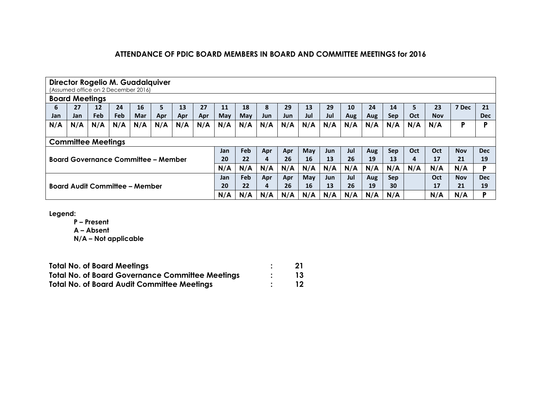|                                            | Director Rogelio M. Guadalquiver<br>(Assumed office on 2 December 2016) |                   |            |     |     |     |     |     |            |            |            |     |            |     |     |            |     |            |            |            |
|--------------------------------------------|-------------------------------------------------------------------------|-------------------|------------|-----|-----|-----|-----|-----|------------|------------|------------|-----|------------|-----|-----|------------|-----|------------|------------|------------|
| <b>Board Meetings</b>                      |                                                                         |                   |            |     |     |     |     |     |            |            |            |     |            |     |     |            |     |            |            |            |
| 6                                          | 27                                                                      | $12 \overline{ }$ | 24         | 16  | 5   | 13  | 27  | 11  | 18         | 8          | 29         | 13  | 29         | 10  | 24  | 14         | 5   | 23         | 7 Dec      | 21         |
| Jan                                        | Jan                                                                     | <b>Feb</b>        | <b>Feb</b> | Mar | Apr | Apr | Apr | May | May        | <b>Jun</b> | <b>Jun</b> | Jul | Jul        | Aug | Aug | <b>Sep</b> | Oct | <b>Nov</b> |            | <b>Dec</b> |
| N/A                                        | N/A                                                                     | N/A               | N/A        | N/A | N/A | N/A | N/A | N/A | N/A        | N/A        | N/A        | N/A | N/A        | N/A | N/A | N/A        | N/A | N/A        | Ρ          | D          |
|                                            |                                                                         |                   |            |     |     |     |     |     |            |            |            |     |            |     |     |            |     |            |            |            |
|                                            | <b>Committee Meetings</b>                                               |                   |            |     |     |     |     |     |            |            |            |     |            |     |     |            |     |            |            |            |
|                                            |                                                                         |                   |            |     |     |     |     | Jan | <b>Feb</b> | Apr        | Apr        | May | Jun        | Jul | Aug | <b>Sep</b> | Oct | Oct        | <b>Nov</b> | <b>Dec</b> |
| <b>Board Governance Committee - Member</b> |                                                                         |                   |            |     |     |     | 20  | 22  | 4          | 26         | 16         | 13  | 26         | 19  | 13  | 4          | 17  | 21         | 19         |            |
|                                            |                                                                         |                   |            |     |     |     |     | N/A | N/A        | N/A        | N/A        | N/A | N/A        | N/A | N/A | N/A        | N/A | N/A        | N/A        | D          |
|                                            |                                                                         |                   |            |     |     |     |     | Jan | Feb        | Apr        | Apr        | May | <b>Jun</b> | Jul | Aug | <b>Sep</b> |     | Oct        | <b>Nov</b> | <b>Dec</b> |
|                                            | <b>Board Audit Committee - Member</b>                                   |                   |            |     |     |     |     | 20  | 22         | 4          | 26         | 16  | 13         | 26  | 19  | 30         |     | 17         | 21         | 19         |
|                                            |                                                                         |                   |            |     |     |     |     | N/A | N/A        | N/A        | N/A        | N/A | N/A        | N/A | N/A | N/A        |     | N/A        | N/A        | D          |

**Legend:**

**P – Present**

**A – Absent**

| <b>Total No. of Board Meetings</b>                      | 21        |
|---------------------------------------------------------|-----------|
| <b>Total No. of Board Governance Committee Meetings</b> | 13        |
| <b>Total No. of Board Audit Committee Meetings</b>      | <b>12</b> |